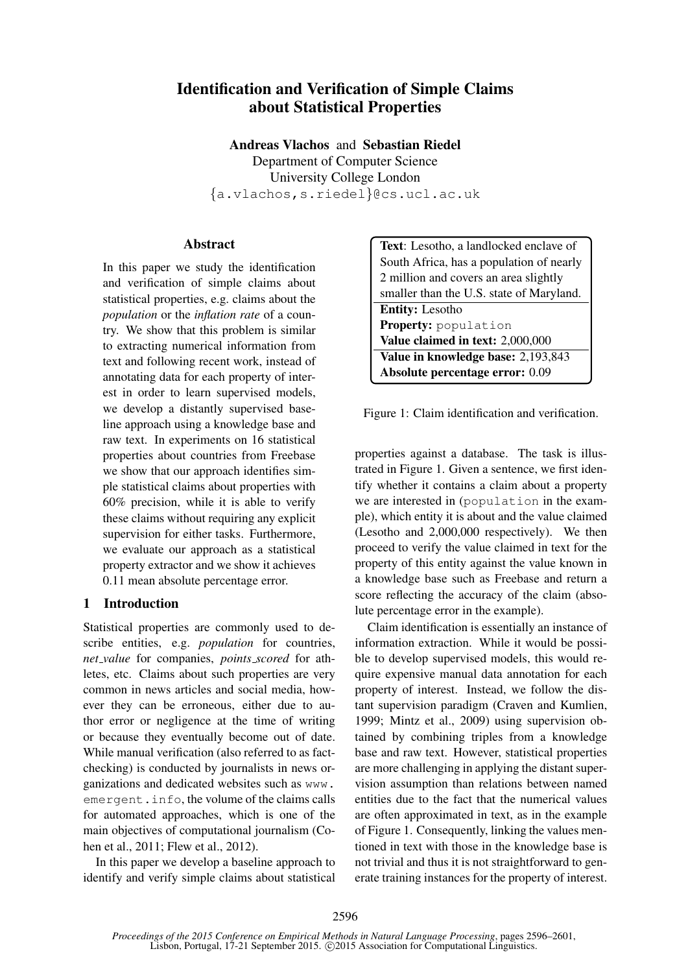# Identification and Verification of Simple Claims about Statistical Properties

Andreas Vlachos and Sebastian Riedel Department of Computer Science University College London {a.vlachos,s.riedel}@cs.ucl.ac.uk

#### **Abstract**

In this paper we study the identification and verification of simple claims about statistical properties, e.g. claims about the *population* or the *inflation rate* of a country. We show that this problem is similar to extracting numerical information from text and following recent work, instead of annotating data for each property of interest in order to learn supervised models, we develop a distantly supervised baseline approach using a knowledge base and raw text. In experiments on 16 statistical properties about countries from Freebase we show that our approach identifies simple statistical claims about properties with 60% precision, while it is able to verify these claims without requiring any explicit supervision for either tasks. Furthermore, we evaluate our approach as a statistical property extractor and we show it achieves 0.11 mean absolute percentage error.

### 1 Introduction

Statistical properties are commonly used to describe entities, e.g. *population* for countries, *net value* for companies, *points scored* for athletes, etc. Claims about such properties are very common in news articles and social media, however they can be erroneous, either due to author error or negligence at the time of writing or because they eventually become out of date. While manual verification (also referred to as factchecking) is conducted by journalists in news organizations and dedicated websites such as www. emergent.info, the volume of the claims calls for automated approaches, which is one of the main objectives of computational journalism (Cohen et al., 2011; Flew et al., 2012).

In this paper we develop a baseline approach to identify and verify simple claims about statistical

| <b>Text:</b> Lesotho, a landlocked enclave of |  |  |  |
|-----------------------------------------------|--|--|--|
| South Africa, has a population of nearly      |  |  |  |
| 2 million and covers an area slightly         |  |  |  |
| smaller than the U.S. state of Maryland.      |  |  |  |
| <b>Entity:</b> Lesotho                        |  |  |  |
| <b>Property:</b> population                   |  |  |  |
| Value claimed in text: 2,000,000              |  |  |  |
| Value in knowledge base: 2,193,843            |  |  |  |
| Absolute percentage error: 0.09               |  |  |  |

Figure 1: Claim identification and verification.

properties against a database. The task is illustrated in Figure 1. Given a sentence, we first identify whether it contains a claim about a property we are interested in (population in the example), which entity it is about and the value claimed (Lesotho and 2,000,000 respectively). We then proceed to verify the value claimed in text for the property of this entity against the value known in a knowledge base such as Freebase and return a score reflecting the accuracy of the claim (absolute percentage error in the example).

Claim identification is essentially an instance of information extraction. While it would be possible to develop supervised models, this would require expensive manual data annotation for each property of interest. Instead, we follow the distant supervision paradigm (Craven and Kumlien, 1999; Mintz et al., 2009) using supervision obtained by combining triples from a knowledge base and raw text. However, statistical properties are more challenging in applying the distant supervision assumption than relations between named entities due to the fact that the numerical values are often approximated in text, as in the example of Figure 1. Consequently, linking the values mentioned in text with those in the knowledge base is not trivial and thus it is not straightforward to generate training instances for the property of interest.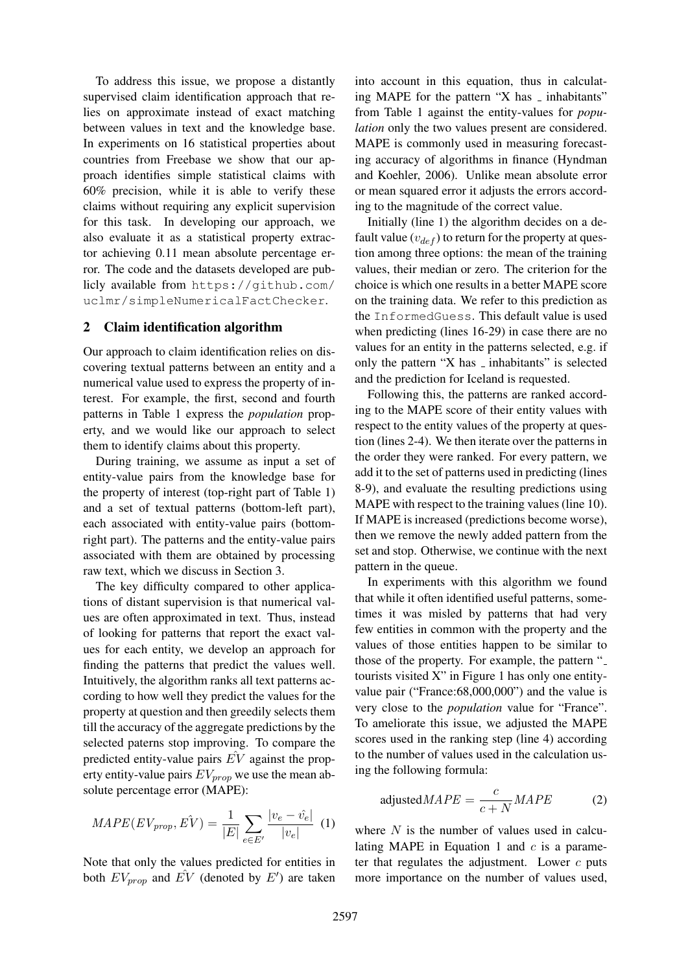To address this issue, we propose a distantly supervised claim identification approach that relies on approximate instead of exact matching between values in text and the knowledge base. In experiments on 16 statistical properties about countries from Freebase we show that our approach identifies simple statistical claims with 60% precision, while it is able to verify these claims without requiring any explicit supervision for this task. In developing our approach, we also evaluate it as a statistical property extractor achieving 0.11 mean absolute percentage error. The code and the datasets developed are publicly available from https://github.com/ uclmr/simpleNumericalFactChecker.

#### 2 Claim identification algorithm

Our approach to claim identification relies on discovering textual patterns between an entity and a numerical value used to express the property of interest. For example, the first, second and fourth patterns in Table 1 express the *population* property, and we would like our approach to select them to identify claims about this property.

During training, we assume as input a set of entity-value pairs from the knowledge base for the property of interest (top-right part of Table 1) and a set of textual patterns (bottom-left part), each associated with entity-value pairs (bottomright part). The patterns and the entity-value pairs associated with them are obtained by processing raw text, which we discuss in Section 3.

The key difficulty compared to other applications of distant supervision is that numerical values are often approximated in text. Thus, instead of looking for patterns that report the exact values for each entity, we develop an approach for finding the patterns that predict the values well. Intuitively, the algorithm ranks all text patterns according to how well they predict the values for the property at question and then greedily selects them till the accuracy of the aggregate predictions by the selected paterns stop improving. To compare the predicted entity-value pairs  $E<sup>V</sup>$  against the property entity-value pairs  $EV_{prop}$  we use the mean absolute percentage error (MAPE):

$$
MAPE(EV_{prop}, E\hat{V}) = \frac{1}{|E|} \sum_{e \in E'} \frac{|v_e - \hat{v}_e|}{|v_e|} (1)
$$

Note that only the values predicted for entities in both  $EV_{prop}$  and  $\hat{EV}$  (denoted by  $E'$ ) are taken

into account in this equation, thus in calculating MAPE for the pattern " $X$  has  $\overline{\phantom{a}}$  inhabitants" from Table 1 against the entity-values for *population* only the two values present are considered. MAPE is commonly used in measuring forecasting accuracy of algorithms in finance (Hyndman and Koehler, 2006). Unlike mean absolute error or mean squared error it adjusts the errors according to the magnitude of the correct value.

Initially (line 1) the algorithm decides on a default value  $(v_{def})$  to return for the property at question among three options: the mean of the training values, their median or zero. The criterion for the choice is which one results in a better MAPE score on the training data. We refer to this prediction as the InformedGuess. This default value is used when predicting (lines 16-29) in case there are no values for an entity in the patterns selected, e.g. if only the pattern "X has  $\overline{\ }$  inhabitants" is selected and the prediction for Iceland is requested.

Following this, the patterns are ranked according to the MAPE score of their entity values with respect to the entity values of the property at question (lines 2-4). We then iterate over the patterns in the order they were ranked. For every pattern, we add it to the set of patterns used in predicting (lines 8-9), and evaluate the resulting predictions using MAPE with respect to the training values (line 10). If MAPE is increased (predictions become worse), then we remove the newly added pattern from the set and stop. Otherwise, we continue with the next pattern in the queue.

In experiments with this algorithm we found that while it often identified useful patterns, sometimes it was misled by patterns that had very few entities in common with the property and the values of those entities happen to be similar to those of the property. For example, the pattern " tourists visited X" in Figure 1 has only one entityvalue pair ("France:68,000,000") and the value is very close to the *population* value for "France". To ameliorate this issue, we adjusted the MAPE scores used in the ranking step (line 4) according to the number of values used in the calculation using the following formula:

adjusted *MAPE* = 
$$
\frac{c}{c+N} \, MAPE
$$
 (2)

where  $N$  is the number of values used in calculating MAPE in Equation 1 and  $c$  is a parameter that regulates the adjustment. Lower  $c$  puts more importance on the number of values used,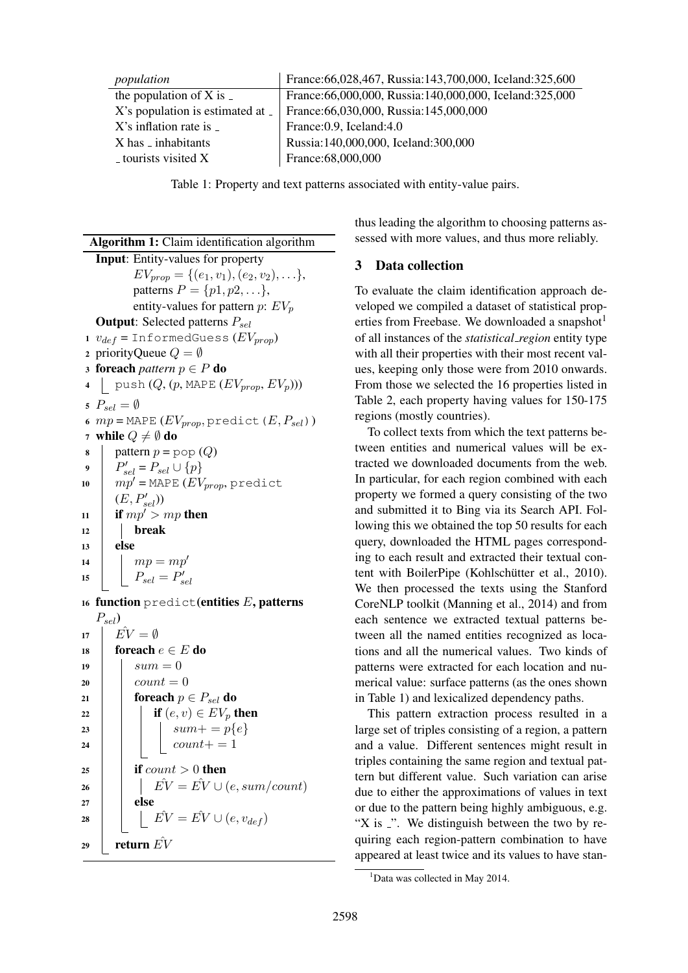| population                                        | France: 66, 028, 467, Russia: 143, 700, 000, Iceland: 325, 600 |  |
|---------------------------------------------------|----------------------------------------------------------------|--|
| the population of X is $\overline{\phantom{a}}$   | France: 66,000,000, Russia: 140,000,000, Iceland: 325,000      |  |
| $X$ 's population is estimated at $\overline{\ }$ | France: 66,030,000, Russia: 145,000,000                        |  |
| $X$ 's inflation rate is $\overline{\phantom{a}}$ | France: 0.9, Iceland: 4.0                                      |  |
| $X$ has $\overline{\ }$ inhabitants               | Russia:140,000,000, Iceland:300,000                            |  |
| - tourists visited X                              | France: 68,000,000                                             |  |

Table 1: Property and text patterns associated with entity-value pairs.

| <b>Algorithm 1:</b> Claim identification algorithm |
|----------------------------------------------------|
| <b>Input:</b> Entity-values for property           |

 $EV_{prop} = \{(e_1, v_1), (e_2, v_2), \ldots\},\$ patterns  $P = \{p1, p2, \ldots\},\$ entity-values for pattern  $p: EV_p$ **Output:** Selected patterns  $P_{sel}$ 1  $v_{def}$  = InformedGuess  $(EV_{prop})$ 2 priorityQueue  $Q = \emptyset$ 3 **foreach** *pattern*  $p \in P$  **do** 4 | push  $(Q, (p, \text{MAPE }(EV_{prop}, EV_p)))$ 5  $P_{sel} = \emptyset$ 6  $mp = \text{MAPE}(EV_{prop}, \text{predict}(E, P_{sel}))$ 7 while  $Q \neq \emptyset$  do  $\mathbf{s}$  | pattern  $p = \text{pop}(Q)$ 9  $P'_{sel} = P_{sel} \cup \{p\}$ 10  $mp'$  = MAPE ( $EV_{prop}$ , predict  $(E, P'_{sel})$ 11 if  $mp' > mp$  then  $12$  break <sup>13</sup> else 14  $\mid m p = m p'$ 15  $P_{sel} = P'_{sel}$ 

16 function predict (entities  $E$ , patterns  $P_{sel}$ 

```
17 \hat{EV} = \emptyset18 foreach e \in E do
19 | sum = 020 count = 0
21 foreach p \in P_{\text{sel}} do
22 if (e, v) \in EV_p then
23 | | | sum+ = p\{e\}24 | | | count+=125 if count > 0 then
26 \left| \right| \left| \right| EV = EV \cup (e, sum/count)27 else
28 \left| \quad \right| \quad \hat{EV} = \hat{EV} \cup (e, v_{def})29 return E\hat{V}
```
thus leading the algorithm to choosing patterns assessed with more values, and thus more reliably.

# 3 Data collection

To evaluate the claim identification approach developed we compiled a dataset of statistical properties from Freebase. We downloaded a snapshot<sup>1</sup> of all instances of the *statistical region* entity type with all their properties with their most recent values, keeping only those were from 2010 onwards. From those we selected the 16 properties listed in Table 2, each property having values for 150-175 regions (mostly countries).

To collect texts from which the text patterns between entities and numerical values will be extracted we downloaded documents from the web. In particular, for each region combined with each property we formed a query consisting of the two and submitted it to Bing via its Search API. Following this we obtained the top 50 results for each query, downloaded the HTML pages corresponding to each result and extracted their textual content with BoilerPipe (Kohlschütter et al., 2010). We then processed the texts using the Stanford CoreNLP toolkit (Manning et al., 2014) and from each sentence we extracted textual patterns between all the named entities recognized as locations and all the numerical values. Two kinds of patterns were extracted for each location and numerical value: surface patterns (as the ones shown in Table 1) and lexicalized dependency paths.

This pattern extraction process resulted in a large set of triples consisting of a region, a pattern and a value. Different sentences might result in triples containing the same region and textual pattern but different value. Such variation can arise due to either the approximations of values in text or due to the pattern being highly ambiguous, e.g. " $X$  is  $\therefore$ ". We distinguish between the two by requiring each region-pattern combination to have appeared at least twice and its values to have stan-

<sup>&</sup>lt;sup>1</sup>Data was collected in May 2014.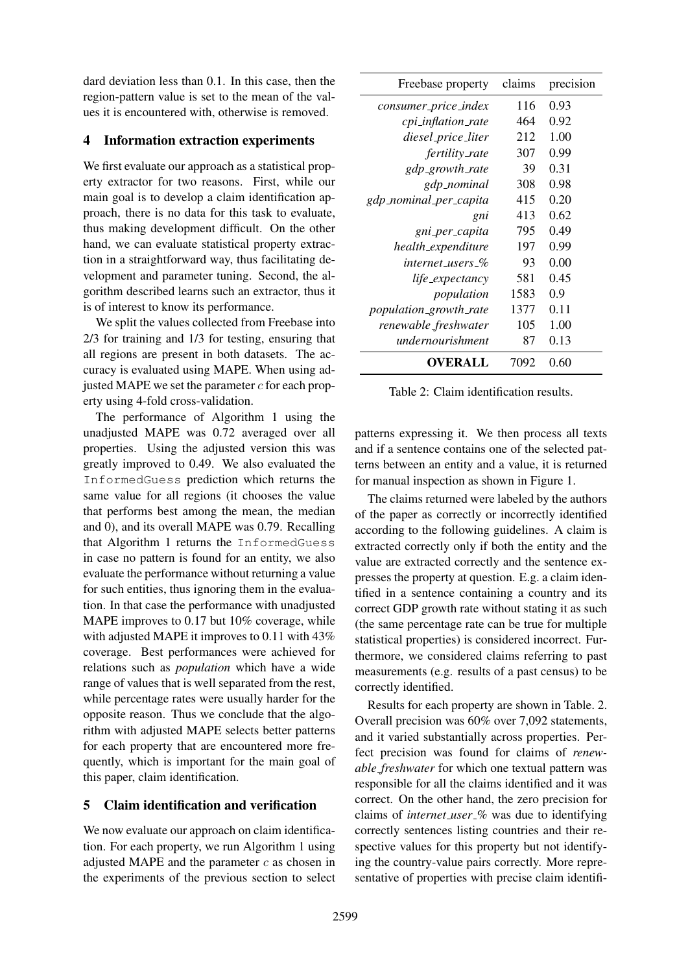dard deviation less than 0.1. In this case, then the region-pattern value is set to the mean of the values it is encountered with, otherwise is removed.

### 4 Information extraction experiments

We first evaluate our approach as a statistical property extractor for two reasons. First, while our main goal is to develop a claim identification approach, there is no data for this task to evaluate, thus making development difficult. On the other hand, we can evaluate statistical property extraction in a straightforward way, thus facilitating development and parameter tuning. Second, the algorithm described learns such an extractor, thus it is of interest to know its performance.

We split the values collected from Freebase into 2/3 for training and 1/3 for testing, ensuring that all regions are present in both datasets. The accuracy is evaluated using MAPE. When using adjusted MAPE we set the parameter  $c$  for each property using 4-fold cross-validation.

The performance of Algorithm 1 using the unadjusted MAPE was 0.72 averaged over all properties. Using the adjusted version this was greatly improved to 0.49. We also evaluated the InformedGuess prediction which returns the same value for all regions (it chooses the value that performs best among the mean, the median and 0), and its overall MAPE was 0.79. Recalling that Algorithm 1 returns the InformedGuess in case no pattern is found for an entity, we also evaluate the performance without returning a value for such entities, thus ignoring them in the evaluation. In that case the performance with unadjusted MAPE improves to 0.17 but 10% coverage, while with adjusted MAPE it improves to 0.11 with 43% coverage. Best performances were achieved for relations such as *population* which have a wide range of values that is well separated from the rest, while percentage rates were usually harder for the opposite reason. Thus we conclude that the algorithm with adjusted MAPE selects better patterns for each property that are encountered more frequently, which is important for the main goal of this paper, claim identification.

# 5 Claim identification and verification

We now evaluate our approach on claim identification. For each property, we run Algorithm 1 using adjusted MAPE and the parameter  $c$  as chosen in the experiments of the previous section to select

| Freebase property      | claims | precision |
|------------------------|--------|-----------|
| consumer_price_index   | 116    | 0.93      |
| cpi_inflation_rate     | 464    | 0.92      |
| diesel_price_liter     | 212    | 1.00      |
| fertility_rate         | 307    | 0.99      |
| gdp_growth_rate        | 39     | 0.31      |
| gdp_nominal            | 308    | 0.98      |
| gdp_nominal_per_capita | 415    | 0.20      |
| gni                    | 413    | 0.62      |
| gni_per_capita         | 795    | 0.49      |
| health_expenditure     | 197    | 0.99      |
| internet_users_%       | 93     | 0.00      |
| life_expectancy        | 581    | 0.45      |
| population             | 1583   | 0.9       |
| population_growth_rate | 1377   | 0.11      |
| renewable_freshwater   | 105    | 1.00      |
| undernourishment       | 87     | 0.13      |
| OVERALL                | 7092   | 0.60      |

Table 2: Claim identification results.

patterns expressing it. We then process all texts and if a sentence contains one of the selected patterns between an entity and a value, it is returned for manual inspection as shown in Figure 1.

The claims returned were labeled by the authors of the paper as correctly or incorrectly identified according to the following guidelines. A claim is extracted correctly only if both the entity and the value are extracted correctly and the sentence expresses the property at question. E.g. a claim identified in a sentence containing a country and its correct GDP growth rate without stating it as such (the same percentage rate can be true for multiple statistical properties) is considered incorrect. Furthermore, we considered claims referring to past measurements (e.g. results of a past census) to be correctly identified.

Results for each property are shown in Table. 2. Overall precision was 60% over 7,092 statements, and it varied substantially across properties. Perfect precision was found for claims of *renewable freshwater* for which one textual pattern was responsible for all the claims identified and it was correct. On the other hand, the zero precision for claims of *internet user %* was due to identifying correctly sentences listing countries and their respective values for this property but not identifying the country-value pairs correctly. More representative of properties with precise claim identifi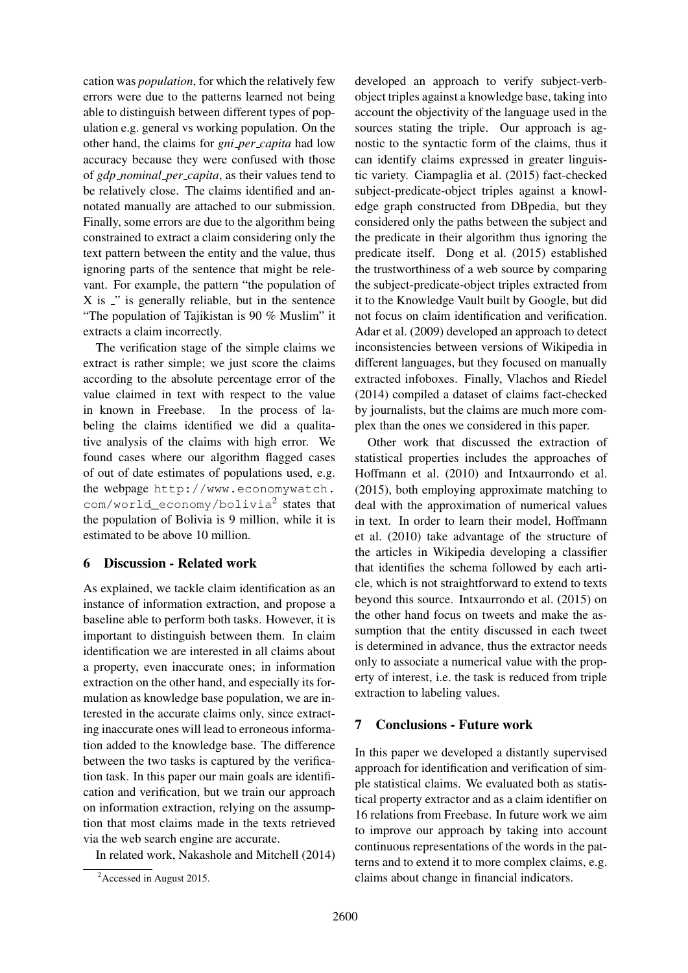cation was *population*, for which the relatively few errors were due to the patterns learned not being able to distinguish between different types of population e.g. general vs working population. On the other hand, the claims for *gni per capita* had low accuracy because they were confused with those of *gdp nominal per capita*, as their values tend to be relatively close. The claims identified and annotated manually are attached to our submission. Finally, some errors are due to the algorithm being constrained to extract a claim considering only the text pattern between the entity and the value, thus ignoring parts of the sentence that might be relevant. For example, the pattern "the population of  $X$  is  $\mathbb{R}^n$  is generally reliable, but in the sentence "The population of Tajikistan is 90 % Muslim" it extracts a claim incorrectly.

The verification stage of the simple claims we extract is rather simple; we just score the claims according to the absolute percentage error of the value claimed in text with respect to the value in known in Freebase. In the process of labeling the claims identified we did a qualitative analysis of the claims with high error. We found cases where our algorithm flagged cases of out of date estimates of populations used, e.g. the webpage http://www.economywatch. com/world\_economy/bolivia<sup>2</sup> states that the population of Bolivia is 9 million, while it is estimated to be above 10 million.

### 6 Discussion - Related work

As explained, we tackle claim identification as an instance of information extraction, and propose a baseline able to perform both tasks. However, it is important to distinguish between them. In claim identification we are interested in all claims about a property, even inaccurate ones; in information extraction on the other hand, and especially its formulation as knowledge base population, we are interested in the accurate claims only, since extracting inaccurate ones will lead to erroneous information added to the knowledge base. The difference between the two tasks is captured by the verification task. In this paper our main goals are identification and verification, but we train our approach on information extraction, relying on the assumption that most claims made in the texts retrieved via the web search engine are accurate.

In related work, Nakashole and Mitchell (2014)

developed an approach to verify subject-verbobject triples against a knowledge base, taking into account the objectivity of the language used in the sources stating the triple. Our approach is agnostic to the syntactic form of the claims, thus it can identify claims expressed in greater linguistic variety. Ciampaglia et al. (2015) fact-checked subject-predicate-object triples against a knowledge graph constructed from DBpedia, but they considered only the paths between the subject and the predicate in their algorithm thus ignoring the predicate itself. Dong et al. (2015) established the trustworthiness of a web source by comparing the subject-predicate-object triples extracted from it to the Knowledge Vault built by Google, but did not focus on claim identification and verification. Adar et al. (2009) developed an approach to detect inconsistencies between versions of Wikipedia in different languages, but they focused on manually extracted infoboxes. Finally, Vlachos and Riedel (2014) compiled a dataset of claims fact-checked by journalists, but the claims are much more complex than the ones we considered in this paper.

Other work that discussed the extraction of statistical properties includes the approaches of Hoffmann et al. (2010) and Intxaurrondo et al. (2015), both employing approximate matching to deal with the approximation of numerical values in text. In order to learn their model, Hoffmann et al. (2010) take advantage of the structure of the articles in Wikipedia developing a classifier that identifies the schema followed by each article, which is not straightforward to extend to texts beyond this source. Intxaurrondo et al. (2015) on the other hand focus on tweets and make the assumption that the entity discussed in each tweet is determined in advance, thus the extractor needs only to associate a numerical value with the property of interest, i.e. the task is reduced from triple extraction to labeling values.

### 7 Conclusions - Future work

In this paper we developed a distantly supervised approach for identification and verification of simple statistical claims. We evaluated both as statistical property extractor and as a claim identifier on 16 relations from Freebase. In future work we aim to improve our approach by taking into account continuous representations of the words in the patterns and to extend it to more complex claims, e.g. claims about change in financial indicators.

<sup>&</sup>lt;sup>2</sup> Accessed in August 2015.